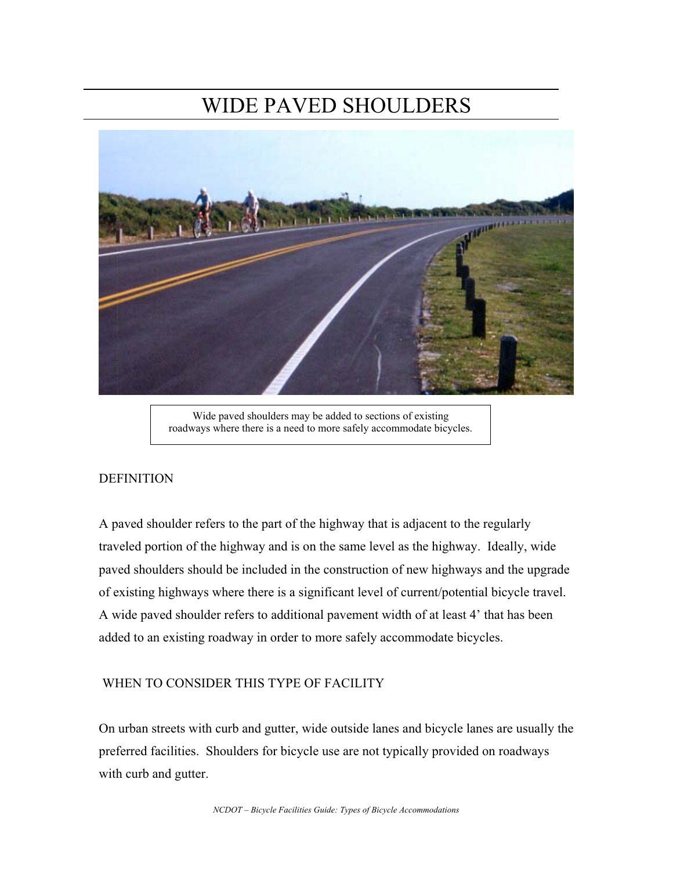# WIDE PAVED SHOULDERS



Wide paved shoulders may be added to sections of existing roadways where there is a need to more safely accommodate bicycles.

### DEFINITION

A paved shoulder refers to the part of the highway that is adjacent to the regularly traveled portion of the highway and is on the same level as the highway. Ideally, wide paved shoulders should be included in the construction of new highways and the upgrade of existing highways where there is a significant level of current/potential bicycle travel. A wide paved shoulder refers to additional pavement width of at least 4' that has been added to an existing roadway in order to more safely accommodate bicycles.

### WHEN TO CONSIDER THIS TYPE OF FACILITY

On urban streets with curb and gutter, wide outside lanes and bicycle lanes are usually the preferred facilities. Shoulders for bicycle use are not typically provided on roadways with curb and gutter.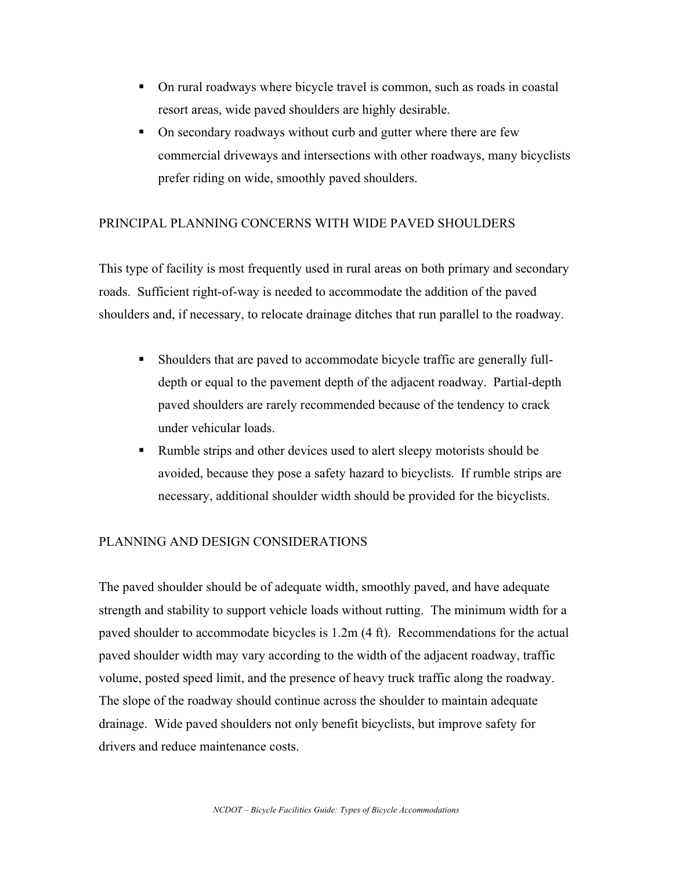- On rural roadways where bicycle travel is common, such as roads in coastal resort areas, wide paved shoulders are highly desirable.
- On secondary roadways without curb and gutter where there are few commercial driveways and intersections with other roadways, many bicyclists prefer riding on wide, smoothly paved shoulders.

### PRINCIPAL PLANNING CONCERNS WITH WIDE PAVED SHOULDERS

This type of facility is most frequently used in rural areas on both primary and secondary roads. Sufficient right-of-way is needed to accommodate the addition of the paved shoulders and, if necessary, to relocate drainage ditches that run parallel to the roadway.

- Shoulders that are paved to accommodate bicycle traffic are generally fulldepth or equal to the pavement depth of the adjacent roadway. Partial-depth paved shoulders are rarely recommended because of the tendency to crack under vehicular loads.
- Rumble strips and other devices used to alert sleepy motorists should be avoided, because they pose a safety hazard to bicyclists. If rumble strips are necessary, additional shoulder width should be provided for the bicyclists.

### PLANNING AND DESIGN CONSIDERATIONS

The paved shoulder should be of adequate width, smoothly paved, and have adequate strength and stability to support vehicle loads without rutting. The minimum width for a paved shoulder to accommodate bicycles is 1.2m (4 ft). Recommendations for the actual paved shoulder width may vary according to the width of the adjacent roadway, traffic volume, posted speed limit, and the presence of heavy truck traffic along the roadway. The slope of the roadway should continue across the shoulder to maintain adequate drainage. Wide paved shoulders not only benefit bicyclists, but improve safety for drivers and reduce maintenance costs.